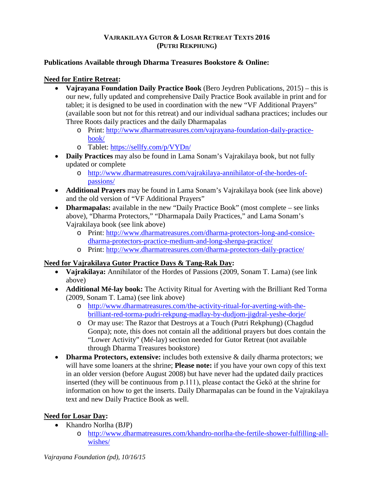### **VAJRAKILAYA GUTOR & LOSAR RETREAT TEXTS 2016 (PUTRI REKPHUNG)**

#### **Publications Available through Dharma Treasures Bookstore & Online:**

## **Need for Entire Retreat:**

- **Vajrayana Foundation Daily Practice Book** (Bero Jeydren Publications, 2015) this is our new, fully updated and comprehensive Daily Practice Book available in print and for tablet; it is designed to be used in coordination with the new "VF Additional Prayers" (available soon but not for this retreat) and our individual sadhana practices; includes our Three Roots daily practices and the daily Dharmapalas
	- o Print: [http://www.dharmatreasures.com/vajrayana-foundation-daily-practice](http://www.dharmatreasures.com/vajrayana-foundation-daily-practice-book/)[book/](http://www.dharmatreasures.com/vajrayana-foundation-daily-practice-book/)
	- o Tablet:<https://sellfy.com/p/VYDn/>
- **Daily Practices** may also be found in Lama Sonam's Vajrakilaya book, but not fully updated or complete
	- o [http://www.dharmatreasures.com/vajrakilaya-annihilator-of-the-hordes-of](http://www.dharmatreasures.com/vajrakilaya-annihilator-of-the-hordes-of-passions/)[passions/](http://www.dharmatreasures.com/vajrakilaya-annihilator-of-the-hordes-of-passions/)
- **Additional Prayers** may be found in Lama Sonam's Vajrakilaya book (see link above) and the old version of "VF Additional Prayers"
- **Dharmapalas:** available in the new "Daily Practice Book" (most complete see links above), "Dharma Protectors," "Dharmapala Daily Practices," and Lama Sonam's Vajrakilaya book (see link above)
	- o Print: [http://www.dharmatreasures.com/dharma-protectors-long-and-consice](http://www.dharmatreasures.com/dharma-protectors-long-and-consice-dharma-protectors-practice-medium-and-long-shenpa-practice/)[dharma-protectors-practice-medium-and-long-shenpa-practice/](http://www.dharmatreasures.com/dharma-protectors-long-and-consice-dharma-protectors-practice-medium-and-long-shenpa-practice/)
	- o Print:<http://www.dharmatreasures.com/dharma-protectors-daily-practice/>

# **Need for Vajrakilaya Gutor Practice Days & Tang-Rak Day:**

- **Vajrakilaya:** Annihilator of the Hordes of Passions (2009, Sonam T. Lama) (see link above)
- **Additional Mé-lay book:** The Activity Ritual for Averting with the Brilliant Red Torma (2009, Sonam T. Lama) (see link above)
	- o [http://www.dharmatreasures.com/the-activity-ritual-for-averting-with-the](http://www.dharmatreasures.com/the-activity-ritual-for-averting-with-the-brilliant-red-torma-pudri-rekpung-madlay-by-dudjom-jigdral-yeshe-dorje/)[brilliant-red-torma-pudri-rekpung-madlay-by-dudjom-jigdral-yeshe-dorje/](http://www.dharmatreasures.com/the-activity-ritual-for-averting-with-the-brilliant-red-torma-pudri-rekpung-madlay-by-dudjom-jigdral-yeshe-dorje/)
	- o Or may use: The Razor that Destroys at a Touch (Putri Rekphung) (Chagdud Gonpa); note, this does not contain all the additional prayers but does contain the "Lower Activity" (Mé-lay) section needed for Gutor Retreat (not available through Dharma Treasures bookstore)
- **Dharma Protectors, extensive:** includes both extensive & daily dharma protectors; we will have some loaners at the shrine; **Please note:** if you have your own copy of this text in an older version (before August 2008) but have never had the updated daily practices inserted (they will be continuous from p.111), please contact the Gekӧ at the shrine for information on how to get the inserts. Daily Dharmapalas can be found in the Vajrakilaya text and new Daily Practice Book as well.

# **Need for Losar Day:**

- Khandro Norlha (BJP)
	- o [http://www.dharmatreasures.com/khandro-norlha-the-fertile-shower-fulfilling-all](http://www.dharmatreasures.com/khandro-norlha-the-fertile-shower-fulfilling-all-wishes/)[wishes/](http://www.dharmatreasures.com/khandro-norlha-the-fertile-shower-fulfilling-all-wishes/)